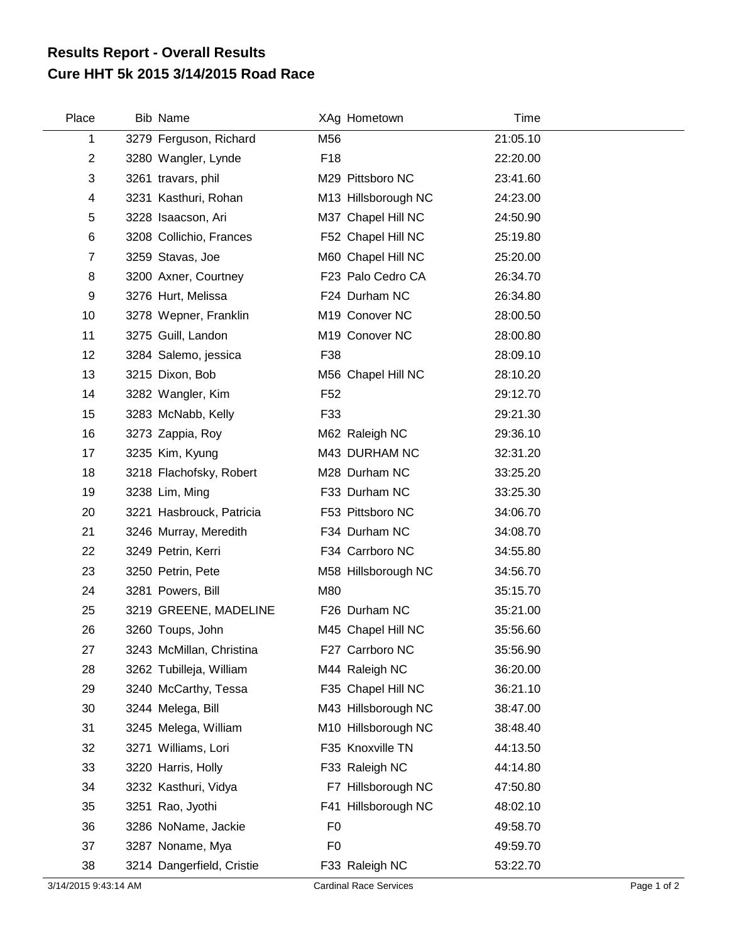## **Cure HHT 5k 2015 3/14/2015 Road Race Results Report - Overall Results**

| Place          | <b>Bib Name</b>           |                 | XAg Hometown        | Time     |
|----------------|---------------------------|-----------------|---------------------|----------|
| 1              | 3279 Ferguson, Richard    | M56             |                     | 21:05.10 |
| $\overline{2}$ | 3280 Wangler, Lynde       | F <sub>18</sub> |                     | 22:20.00 |
| 3              | 3261 travars, phil        |                 | M29 Pittsboro NC    | 23:41.60 |
| 4              | 3231 Kasthuri, Rohan      |                 | M13 Hillsborough NC | 24:23.00 |
| 5              | 3228 Isaacson, Ari        |                 | M37 Chapel Hill NC  | 24:50.90 |
| 6              | 3208 Collichio, Frances   |                 | F52 Chapel Hill NC  | 25:19.80 |
| $\overline{7}$ | 3259 Stavas, Joe          |                 | M60 Chapel Hill NC  | 25:20.00 |
| 8              | 3200 Axner, Courtney      |                 | F23 Palo Cedro CA   | 26:34.70 |
| 9              | 3276 Hurt, Melissa        |                 | F24 Durham NC       | 26:34.80 |
| 10             | 3278 Wepner, Franklin     |                 | M19 Conover NC      | 28:00.50 |
| 11             | 3275 Guill, Landon        |                 | M19 Conover NC      | 28:00.80 |
| 12             | 3284 Salemo, jessica      | F38             |                     | 28:09.10 |
| 13             | 3215 Dixon, Bob           |                 | M56 Chapel Hill NC  | 28:10.20 |
| 14             | 3282 Wangler, Kim         | F <sub>52</sub> |                     | 29:12.70 |
| 15             | 3283 McNabb, Kelly        | F33             |                     | 29:21.30 |
| 16             | 3273 Zappia, Roy          |                 | M62 Raleigh NC      | 29:36.10 |
| 17             | 3235 Kim, Kyung           |                 | M43 DURHAM NC       | 32:31.20 |
| 18             | 3218 Flachofsky, Robert   |                 | M28 Durham NC       | 33:25.20 |
| 19             | 3238 Lim, Ming            |                 | F33 Durham NC       | 33:25.30 |
| 20             | 3221 Hasbrouck, Patricia  |                 | F53 Pittsboro NC    | 34:06.70 |
| 21             | 3246 Murray, Meredith     |                 | F34 Durham NC       | 34:08.70 |
| 22             | 3249 Petrin, Kerri        |                 | F34 Carrboro NC     | 34:55.80 |
| 23             | 3250 Petrin, Pete         |                 | M58 Hillsborough NC | 34:56.70 |
| 24             | 3281 Powers, Bill         | M80             |                     | 35:15.70 |
| 25             | 3219 GREENE, MADELINE     |                 | F26 Durham NC       | 35:21.00 |
| 26             | 3260 Toups, John          |                 | M45 Chapel Hill NC  | 35:56.60 |
| 27             | 3243 McMillan, Christina  |                 | F27 Carrboro NC     | 35:56.90 |
| 28             | 3262 Tubilleja, William   |                 | M44 Raleigh NC      | 36:20.00 |
| 29             | 3240 McCarthy, Tessa      |                 | F35 Chapel Hill NC  | 36:21.10 |
| 30             | 3244 Melega, Bill         |                 | M43 Hillsborough NC | 38:47.00 |
| 31             | 3245 Melega, William      |                 | M10 Hillsborough NC | 38:48.40 |
| 32             | 3271 Williams, Lori       |                 | F35 Knoxville TN    | 44:13.50 |
| 33             | 3220 Harris, Holly        |                 | F33 Raleigh NC      | 44:14.80 |
| 34             | 3232 Kasthuri, Vidya      |                 | F7 Hillsborough NC  | 47:50.80 |
| 35             | 3251 Rao, Jyothi          |                 | F41 Hillsborough NC | 48:02.10 |
| 36             | 3286 NoName, Jackie       | F <sub>0</sub>  |                     | 49:58.70 |
| 37             | 3287 Noname, Mya          | F <sub>0</sub>  |                     | 49:59.70 |
| 38             | 3214 Dangerfield, Cristie |                 | F33 Raleigh NC      | 53:22.70 |